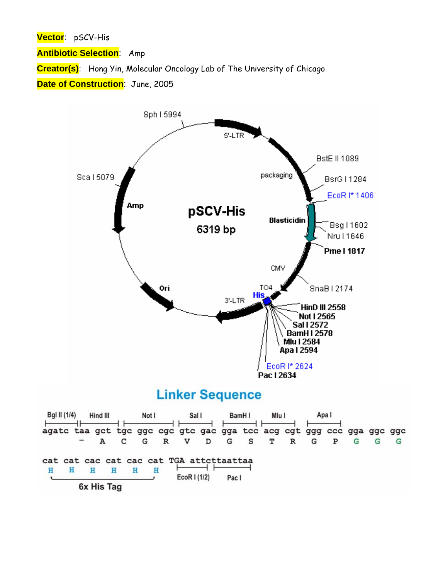**Vector**: pSCV-His

**Antibiotic Selection**: Amp

**Creator(s)**: Hong Yin, Molecular Oncology Lab of The University of Chicago

**Date of Construction**: June, 2005

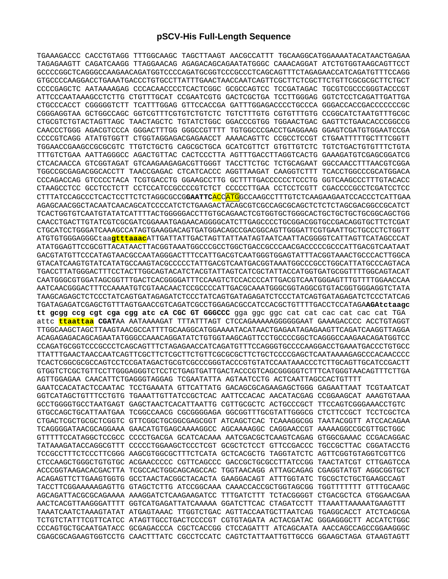## **pSCV-His Full-Length Sequence**

TGAAAGACCC CACCTGTAGG TTTGGCAAGC TAGCTTAAGT AACGCCATTT TGCAAGGCATGGAAAATACATAACTGAGAA TAGAGAAGTT CAGATCAAGG TTAGGAACAG AGAGACAGCAGAATATGGGC CAAACAGGAT ATCTGTGGTAAGCAGTTCCT GCCCCGGCTCAGGGCCAAGAACAGATGGTCCCCAGATGCGGTCCCGCCCTCAGCAGTTTCTAGAGAACCATCAGATGTTTCCAGG GTGCCCCAAGGACCTGAAATGACCCTGTGCCTTATTTGAACTAACCAATCAGTTCGCTTCTCGCTTCTGTTCGCGCGCTTCTGCT CCCCGAGCTC AATAAAAGAG CCCACAACCCCTCACTCGGC GCGCCAGTCC TCCGATAGAC TGCGTCGCCCGGGTACCCGT ATTCCCAATAAAGCCTCTTG CTGTTTGCAT CCGAATCGTG GACTCGCTGA TCCTTGGGAG GGTCTCCTCAGATTGATTGA CTGCCCACCT CGGGGGTCTT TCATTTGGAG GTTCCACCGA GATTTGGAGACCCCTGCCCA GGGACCACCGACCCCCCCGC CGGGAGGTAA GCTGGCCAGC GGTCGTTTCGTGTCTGTCTC TGTCTTTGTG CGTGTTTGTG CCGGCATCTAATGTTTGCGC CTGCGTCTGTACTAGTTAGC TAACTAGCTC TGTATCTGGC GGACCCGTGG TGGAACTGAC GAGTTCTGAACACCCGGCCG CAACCCTGGG AGACGTCCCA GGGACTTTGG GGGCCGTTTT TGTGGCCCGACCTGAGGAAG GGAGTCGATGTGGAATCCGA CCCCGTCAGG ATATGTGGTT CTGGTAGGAGACGAGAACCT AAAACAGTTC CCGCCTCCGT CTGAATTTTTGCTTTCGGTT TGGAACCGAAGCCGCGCGTC TTGTCTGCTG CAGCGCTGCA GCATCGTTCT GTGTTGTCTC TGTCTGACTGTGTTTCTGTA TTTGTCTGAA AATTAGGGCC AGACTGTTAC CACTCCCTTA AGTTTGACCTTAGGTCACTG GAAAGATGTCGAGCGGATCG CTCACAACCA GTCGGTAGAT GTCAAGAAGAGACGTTGGGT TACCTTCTGC TCTGCAGAAT GGCCAACCTTTAACGTCGGA TGGCCGCGAGACGGCACCTT TAACCGAGAC CTCATCACCC AGGTTAAGAT CAAGGTCTTT TCACCTGGCCCGCATGGACA CCCAGACCAG GTCCCCTACA TCGTGACCTG GGAAGCCTTG GCTTTTGACCCCCCTCCCTG GGTCAAGCCCTTTGTACACC CTAAGCCTCC GCCTCCTCTT CCTCCATCCGCCCCGTCTCT CCCCCTTGAA CCTCCTCGTT CGACCCCGCCTCGATCCTCC CTTTATCCAGCCCTCACTCCTTCTCTAGGCGCCG**GAATTC**ACCATGGCCAAGCCTTTGTCTCAAGAAGAATCCACCCTCATTGAA AGAGCAACGGCTACAATCAACAGCATCCCCATCTCTGAAGACTACAGCGTCGCCAGCGCAGCTCTCTCTAGCGACGGCCGCATCT TCACTGGTGTCAATGTATATCATTTTACTGGGGGACCTTGTGCAGAACTCGTGGTGCTGGGCACTGCTGCTGCTGCGGCAGCTGG CAACCTGACTTGTATCGTCGCGATCGGAAATGAGAACAGGGGCATCTTGAGCCCCTGCGGACGGTGCCGACAGGTGCTTCTCGAT CTGCATCCTGGGATCAAAGCCATAGTGAAGGACAGTGATGGACAGCCGACGGCAGTTGGGATTCGTGAATTGCTGCCCTCTGGTT ATGTGTGGGAGGGCtaa**gtttaaac**ATTGATTATTGACTAGTTATTAATAGTAATCAATTACGGGGTCATTAGTTCATAGCCCAT ATATGGAGTTCCGCGTTACATAACTTACGGTAAATGGCCCGCCTGGCTGACCGCCCAACGACCCCCGCCCATTGACGTCAATAAT GACGTATGTTCCCATAGTAACGCCAATAGGGACTTTCCATTGACGTCAATGGGTGGAGTATTTACGGTAAACTGCCCACTTGGCA GTACATCAAGTGTATCATATGCCAAGTACGCCCCCTATTGACGTCAATGACGGTAAATGGCCCGCCTGGCATTATGCCCAGTACA TGACCTTATGGGACTTTCCTACTTGGCAGTACATCTACGTATTAGTCATCGCTATTACCATGGTGATGCGGTTTTGGCAGTACAT CAATGGGCGTGGATAGCGGTTTGACTCACGGGGATTTCCAAGTCTCCACCCCATTGACGTCAATGGGAGTTTGTTTTGGAACCAA AATCAACGGGACTTTCCAAAATGTCGTAACAACTCCGCCCCATTGACGCAAATGGGCGGTAGGCGTGTACGGTGGGAGGTCTATA TAAGCAGAGCTCTCCCTATCAGTGATAGAGATCTCCCTATCAGTGATAGAGATCTCCCTATCAGTGATAGAGATCTCCCTATCAG TGATAGAGATCGAGCTGTTTAGTGAACCGTCAGATCGCCTGGAGACGCCATCCACGCTGTTTTGACCTCCATAGA**AGAtctaagc tt gcgg ccg cgt cga cgg atc cA CGC GT GGGCCC** gga ggc ggc cat cat cac cat cac cat TGA attc **ttaattaa CGAT**AA AATAAAAGAT TTTATTTAGT CTCCAGAAAAAGGGGGGAAT GAAAGACCCC ACCTGTAGGT TTGGCAAGCTAGCTTAAGTAACGCCATTTTGCAAGGCATGGAAAATACATAACTGAGAATAGAGAAGTTCAGATCAAGGTTAGGA ACAGAGAGACAGCAGAATATGGGCCAAACAGGATATCTGTGGTAAGCAGTTCCTGCCCCGGCTCAGGGCCAAGAACAGATGGTCC CCAGATGCGGTCCCGCCCTCAGCAGTTTCTAGAGAACCATCAGATGTTTCCAGGGTGCCCCAAGGACCTGAAATGACCCTGTGCC TTATTTGAACTAACCAATCAGTTCGCTTCTCGCTTCTGTTCGCGCGCTTCTGCTCCCCGAGCTCAATAAAAGAGCCCACAACCCC TCACTCGGCGCGCCAGTCCTCCGATAGACTGCGTCGCCCGGGTACCCGTGTATCCAATAAACCCTCTTGCAGTTGCATCCGACTT GTGGTCTCGCTGTTCCTTGGGAGGGTCTCCTCTGAGTGATTGACTACCCGTCAGCGGGGGTCTTTCATGGGTAACAGTTTCTTGA AGTTGGAGAA CAACATTCTGAGGGTAGGAG TCGAATATTA AGTAATCCTG ACTCAATTAGCCACTGTTTT GAATCCACATACTCCAATAC TCCTGAAATA GTTCATTATG GACAGCGCAGAAGAGCTGGG GAGAATTAAT TCGTAATCAT GGTCATAGCTGTTTCCTGTG TGAAATTGTTATCCGCTCAC AATTCCACAC AACATACGAG CCGGAAGCAT AAAGTGTAAA GCCTGGGGTGCCTAATGAGT GAGCTAACTCACATTAATTG CGTTGCGCTC ACTGCCCGCT TTCCAGTCGGGAAACCTGTC GTGCCAGCTGCATTAATGAA TCGGCCAACG CGCGGGGAGA GGCGGTTTGCGTATTGGGCG CTCTTCCGCT TCCTCGCTCA CTGACTCGCTGCGCTCGGTC GTTCGGCTGCGGCGAGCGGT ATCAGCTCAC TCAAAGGCGG TAATACGGTT ATCCACAGAA TCAGGGGATAACGCAGGAAA GAACATGTGAGCAAAAGGCC AGCAAAAGGC CAGGAACCGT AAAAAGGCCGCGTTGCTGGC GTTTTTCCATAGGCTCCGCC CCCCTGACGA GCATCACAAA AATCGACGCTCAAGTCAGAG GTGGCGAAAC CCGACAGGAC TATAAAGATACCAGGCGTTT CCCCCTGGAAGCTCCCTCGT GCGCTCTCCT GTTCCGACCC TGCCGCTTAC CGGATACCTG TCCGCCTTTCTCCCTTCGGG AAGCGTGGCGCTTTCTCATA GCTCACGCTG TAGGTATCTC AGTTCGGTGTAGGTCGTTCG CTCCAAGCTGGGCTGTGTGC ACGAACCCCC CGTTCAGCCC GACCGCTGCGCCTTATCCGG TAACTATCGT CTTGAGTCCA ACCCGGTAAGACACGACTTA TCGCCACTGGCAGCAGCCAC TGGTAACAGG ATTAGCAGAG CGAGGTATGT AGGCGGTGCT ACAGAGTTCTTGAAGTGGTG GCCTAACTACGGCTACACTA GAAGGACAGT ATTTGGTATC TGCGCTCTGCTGAAGCCAGT TACCTTCGGAAAAAGAGTTG GTAGCTCTTG ATCCGGCAAA CAAACCACCGCTGGTAGCGG TGGTTTTTTT GTTTGCAAGC AGCAGATTACGCGCAGAAAA AAAGGATCTCAAGAAGATCC TTTGATCTTT TCTACGGGGT CTGACGCTCA GTGGAACGAA AACTCACGTTAAGGGATTTT GGTCATGAGATTATCAAAAA GGATCTTCAC CTAGATCCTT TTAAATTAAAAATGAAGTTT TAAATCAATCTAAAGTATAT ATGAGTAAAC TTGGTCTGAC AGTTACCAATGCTTAATCAG TGAGGCACCT ATCTCAGCGA TCTGTCTATTTCGTTCATCC ATAGTTGCCTGACTCCCCGT CGTGTAGATA ACTACGATAC GGGAGGGCTT ACCATCTGGC CCCAGTGCTGCAATGATACC GCGAGACCCA CGCTCACCGG CTCCAGATTT ATCAGCAATA AACCAGCCAGCCGGAAGGGC CGAGCGCAGAAGTGGTCCTG CAACTTTATC CGCCTCCATC CAGTCTATTAATTGTTGCCG GGAAGCTAGA GTAAGTAGTT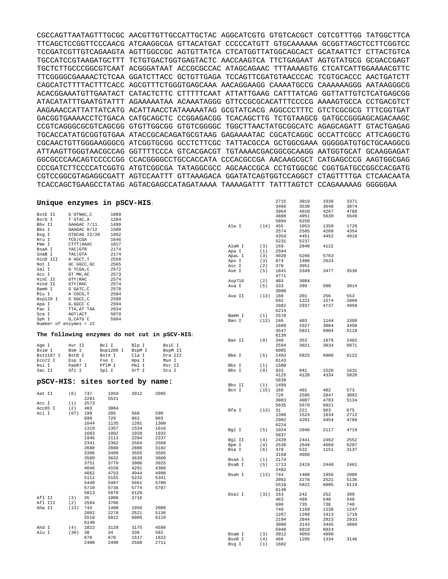CGCCAGTTAATAGTTTGCGC AACGTTGTTGCCATTGCTAC AGGCATCGTG GTGTCACGCT CGTCGTTTGG TATGGCTTCA TTCAGCTCCGGTTCCCAACG ATCAAGGCGA GTTACATGAT CCCCCATGTT GTGCAAAAAA GCGGTTAGCTCCTTCGGTCC TCCGATCGTTGTCAGAAGTA AGTTGGCCGC AGTGTTATCA CTCATGGTTATGGCAGCACT GCATAATTCT CTTACTGTCA TGCCATCCGTAAGATGCTTT TCTGTGACTGGTGAGTACTC AACCAAGTCA TTCTGAGAAT AGTGTATGCG GCGACCGAGT TGCTCTTGCCCGGCGTCAAT ACGGGATAAT ACCGCGCCAC ATAGCAGAAC TTTAAAAGTG CTCATCATTGGAAAACGTTC TTCGGGGCGAAAACTCTCAA GGATCTTACC GCTGTTGAGA TCCAGTTCGATGTAACCCAC TCGTGCACCC AACTGATCTT CAGCATCTTTTACTTTCACC AGCGTTTCTGGGTGAGCAAA AACAGGAAGG CAAAATGCCG CAAAAAAGGG AATAAGGGCG ACACGGAAATGTTGAATACT CATACTCTTC CTTTTTCAAT ATTATTGAAG CATTTATCAG GGTTATTGTCTCATGAGCGG ATACATATTTGAATGTATTT AGAAAAATAA ACAAATAGGG GTTCCGCGCACATTTCCCCG AAAAGTGCCA CCTGACGTCT AAGAAACCATTATTATCATG ACATTAACCTATAAAAATAG GCGTATCACG AGGCCCTTTC GTCTCGCGCG TTTCGGTGAT GACGGTGAAAACCTCTGACA CATGCAGCTC CCGGAGACGG TCACAGCTTG TCTGTAAGCG GATGCCGGGAGCAGACAAGC CCGTCAGGGCGCGTCAGCGG GTGTTGGCGG GTGTCGGGGC TGGCTTAACTATGCGGCATC AGAGCAGATT GTACTGAGAG TGCACCATATGCGGTGTGAA ATACCGCACAGATGCGTAAG GAGAAAATAC CGCATCAGGC GCCATTCGCC ATTCAGGCTG CGCAACTGTTGGGAAGGGCG ATCGGTGCGG GCCTCTTCGC TATTACGCCA GCTGGCGAAA GGGGGATGTGCTGCAAGGCG ATTAAGTTGGGTAACGCCAG GGTTTTCCCA GTCACGACGT TGTAAAACGACGGCGCAAGG AATGGTGCAT GCAAGGAGAT GGCGCCCAACAGTCCCCCGG CCACGGGGCCTGCCACCATA CCCACGCCGA AACAAGCGCT CATGAGCCCG AAGTGGCGAG CCCGATCTTCCCCATCGGTG ATGTCGGCGA TATAGGCGCC AGCAACCGCA CCTGTGGCGC CGGTGATGCCGGCCACGATG CGTCCGGCGTAGAGGCGATT AGTCCAATTT GTTAAAGACA GGATATCAGTGGTCCAGGCT CTAGTTTTGA CTCAACAATA TCACCAGCTGAAGCCTATAG AGTACGAGCCATAGATAAAA TAAAAGATTT TATTTAGTCT CCAGAAAAAG GGGGGAA

| Unique enzymes in pSCV-HIS: |                  |              |                       |              |                                               |        |      | 2715 | 3019 | 3338 | 3371 |
|-----------------------------|------------------|--------------|-----------------------|--------------|-----------------------------------------------|--------|------|------|------|------|------|
|                             |                  |              |                       |              |                                               |        |      | 3466 | 3530 | 3648 | 3874 |
|                             |                  |              |                       |              |                                               |        |      | 3964 | 4010 | 4267 | 4788 |
| BstE II                     | G`GTNAC, C       |              | 1089                  |              |                                               |        |      | 4888 | 4951 | 5630 | 5649 |
| BsrG I                      | T`GTAC, A        |              | 1284                  |              |                                               |        |      |      |      |      |      |
| Bbv II                      |                  | GAAGAC 7/11  | 1499                  |              |                                               |        |      | 5894 | 6250 |      |      |
|                             |                  |              |                       |              |                                               | Alw I  | (14) | 455  | 1053 | 1359 | 1729 |
| Bbs I                       |                  | GAAGAC 8/12  | 1500                  |              |                                               |        |      | 2574 | 2585 | 4268 | 4354 |
| Bsg I                       |                  | GTGCAG 22/20 | 1602                  |              |                                               |        |      | 4354 | 4451 | 4452 | 4916 |
| Nru I                       | $TCG$ $CGA$      |              | 1646                  |              |                                               |        |      | 5231 | 5237 |      |      |
| Pme I                       | CTTT AAAC        |              | 1817                  |              |                                               |        |      |      |      |      |      |
| BsaA I                      | YAC GTR          |              | 2174                  |              |                                               | AlwN I | (3)  | 159  | 2840 | 4122 |      |
|                             |                  |              |                       |              |                                               | Apa I  | (1)  | 2594 |      |      |      |
| SnaB I                      | TAC GTA          |              | 2174                  |              |                                               | ApaL I | (3)  | 4020 | 5266 | 5763 |      |
| HinD III                    | A AGCT, T        |              | 2558                  |              |                                               | Apo I  | (3)  | 874  | 1406 | 2624 |      |
| Not I                       | GC 'GGCC, GC     |              | 2565                  |              |                                               | Asc I  | (2)  | 370  | 3051 |      |      |
| Sal I                       | G`TCGA, C        |              | 2572                  |              |                                               |        |      |      |      |      |      |
| Acc I                       | GT `MK, AC       |              | 2573                  |              |                                               | Ase I  | (5)  | 1841 | 3349 | 3477 | 3536 |
|                             |                  |              |                       |              |                                               |        |      | 4771 |      |      |      |
| HinC II                     | GTY RAC          |              | 2574                  |              |                                               | Asp718 | (2)  | 403  | 3084 |      |      |
| Hind II                     | GTY RAC          |              | 2574                  |              |                                               | Ava I  | (5)  | 333  | 399  | 500  | 3014 |
| BamH I                      | $G$ $GATC$ , $C$ |              | 2578                  |              |                                               |        |      | 3080 |      |      |      |
| Mlu I                       | A`CGCG, T        |              | 2584                  |              |                                               | Ava II | (13) | 188  | 201  | 256  | 553  |
| Bsp120 I                    | G`GGCC, C        |              | 2590                  |              |                                               |        |      |      |      |      |      |
|                             |                  |              | 2594                  |              |                                               |        |      | 692  | 1221 | 1574 | 2869 |
| Apa I                       | G, GGCC `C       |              |                       |              |                                               |        |      | 2882 | 2937 | 4737 | 4959 |
| Pac I                       | TTA, AT`TAA      |              | 2634                  |              |                                               |        |      | 6214 |      |      |      |
| Sca I                       | AGT ACT          |              | 5079                  |              |                                               | BamH I | (1)  | 2578 |      |      |      |
| Sph I                       | G, CATG C        |              | 5994                  |              |                                               |        |      |      | 403  | 1144 | 1399 |
| Number of enzymes = 22      |                  |              |                       |              |                                               | Ban I  | (13) | 246  |      |      |      |
|                             |                  |              |                       |              |                                               |        |      | 1689 | 2927 | 3084 | 3450 |
|                             |                  |              |                       |              |                                               |        |      | 4547 | 5821 | 6004 | 6118 |
|                             |                  |              |                       |              | The following enzymes do not cut in pSCV-HIS: |        |      | 6139 |      |      |      |
|                             |                  |              |                       |              |                                               | Ban II | (9)  | 340  | 353  | 1679 | 2402 |
|                             | Avr II           |              | Bcl I                 | Blp I        | BsiC I                                        |        |      | 2594 | 3021 | 3034 | 6071 |
| Age I                       |                  |              |                       |              |                                               |        |      |      |      |      |      |
| BsiW I                      | Bsm I            |              | Bsp1286 I             | BspM I       | BspM II                                       |        |      | 6085 |      |      |      |
| Bst1107 I                   | BstB I           |              | BstX I                | Cla I        | Dra III                                       | Bbe I  | (5)  | 1403 | 5825 | 6008 | 6122 |
| Eco72 I                     | Esp I            |              | Fse I                 | Hpa I        | Mun I                                         |        |      | 6143 |      |      |      |
| Nsi I                       | PaeR7 I          |              | PflM I                | Pml I        | Rsr II                                        | Bbs I  | (1)  | 1500 |      |      |      |
|                             |                  |              | Spl I                 | Srf I        | Stu I                                         | Bbv I  | (9)  | 933  | 941  | 1526 | 1631 |
|                             |                  |              |                       |              |                                               |        |      |      |      |      |      |
| Sac II                      | Sfi I            |              |                       |              |                                               |        |      |      |      |      |      |
|                             |                  |              |                       |              |                                               |        |      | 4125 | 4128 | 4334 | 5028 |
|                             |                  |              |                       |              |                                               |        |      | 5639 |      |      |      |
| pSCV-HIS:                   |                  |              | sites sorted by name: |              |                                               | Bbv II | (1)  | 1499 |      |      |      |
|                             |                  |              |                       |              |                                               |        |      |      |      |      |      |
| Aat II                      |                  | 747          | 1959                  | 2012         | 2095                                          | Bcn I  | (15) | 166  | 401  | 402  | 573  |
|                             | (6)              |              |                       |              |                                               |        |      | 726  | 2595 | 2847 | 3082 |
|                             |                  | 2281         | 5521                  |              |                                               |        |      | 3083 | 4087 | 4783 | 5134 |
| Acc I                       | (1)              | 2573         |                       |              |                                               |        |      | 5635 | 5670 | 6021 |      |
| Acc65 I                     | (2)              | 403          | 3084                  |              |                                               | Bfa I  | (13) | 31   | 221  | 663  | 675  |
| Aci I                       | (67)             | 199          | 205                   | 568          | 590                                           |        |      |      |      |      |      |
|                             |                  | 690          | 729                   | 862          | 903                                           |        |      | 1396 | 1524 | 1834 | 2712 |
|                             |                  |              |                       |              |                                               |        |      | 2902 | 4201 | 4454 | 4789 |
|                             |                  | 1044         | 1135                  | 1201         | 1300                                          |        |      | 6224 |      |      |      |
|                             |                  | 1319         | 1357                  | 1534         | 1616                                          | Bgl I  | (5)  | 1924 | 2046 | 2117 | 4719 |
|                             |                  | 1683         | 1892                  | 1920         | 1932                                          |        |      | 5837 |      |      |      |
|                             |                  | 1946         | 2113                  | 2204         | 2237                                          |        |      | 2420 |      | 2462 |      |
|                             |                  | 2341         | 2362                  | 2564         | 2568                                          | Bgl II | (4)  |      | 2441 |      | 2552 |
|                             |                  | 2600         | 2880                  | 2886         | 3182                                          | Bpm I  | (4)  | 2536 | 2649 | 4669 | 6287 |
|                             |                  |              |                       |              |                                               | Bsa I  | (6)  | 478  | 532  | 1151 | 3137 |
|                             |                  | 3396         | 3499                  | 3555         | 3565                                          |        |      | 3158 | 4660 |      |      |
|                             |                  | 3589         | 3632                  | 3639         | 3660                                          | BsaA I | (1)  | 2174 |      |      |      |
|                             |                  | 3751         | 3779                  | 3906         | 3925                                          | BsaB I | (5)  |      | 2419 | 2440 | 2461 |
|                             |                  | 4046         | 4156                  | 4291         | 4300                                          |        |      | 1713 |      |      |      |
|                             |                  |              |                       |              | 4990                                          |        |      | 2482 |      |      |      |
|                             |                  | 4662         | 4753                  | 4944         |                                               | BsaH I | (13) | 744  | 1400 | 1956 | 2009 |
|                             |                  | 5111         | 5155                  | 5232         | 5341                                          |        |      | 2092 | 2278 | 2521 | 5136 |
|                             |                  | 5440         | 5487                  | 5661         | 5700                                          |        |      | 5518 | 5822 | 6005 | 6119 |
|                             |                  | 5710         | 5736                  | 5774         | 5787                                          |        |      | 6140 |      |      |      |
|                             |                  | 5813         | 5870                  | 6129         |                                               |        |      |      |      |      | 399  |
| Afl II                      | (3)              | 35           | 1008                  | 2716         |                                               | BsaJ I | (31) | 163  | 242  | 252  |      |
| Afl III                     | (2)              |              | 3706                  |              |                                               |        |      | 463  | 499  | 548  | 549  |
|                             |                  | 2584         |                       |              |                                               |        |      | 696  | 735  | 736  | 748  |
| Aha II                      | (13)             | 744          | 1400                  | 1956         | 2009                                          |        |      | 749  | 1169 | 1238 | 1247 |
|                             |                  | 2092         | 2278                  | 2521         | 5136                                          |        |      | 1267 | 1268 | 1413 | 1718 |
|                             |                  | 5518         | 5822                  | 6005         | 6119                                          |        |      |      |      |      |      |
|                             |                  | 6140         |                       |              |                                               |        |      | 2194 | 2844 | 2923 | 2933 |
|                             |                  |              |                       |              | 4599                                          |        |      | 3080 | 3143 | 3445 | 3866 |
| Ahd I                       | (4)              | 1022         | 3129                  | 3175         |                                               |        |      | 5940 | 6018 | 6024 |      |
| Alu I                       | (30)             | 30           | 34                    | 338          | 582                                           | BsaW I | (3)  | 3912 | 4059 | 4890 |      |
|                             |                  | 670<br>2400  | 678<br>2490           | 1517<br>2560 | 1622<br>2711                                  | BseR I | (4)  | 466  | 1295 | 1334 | 3146 |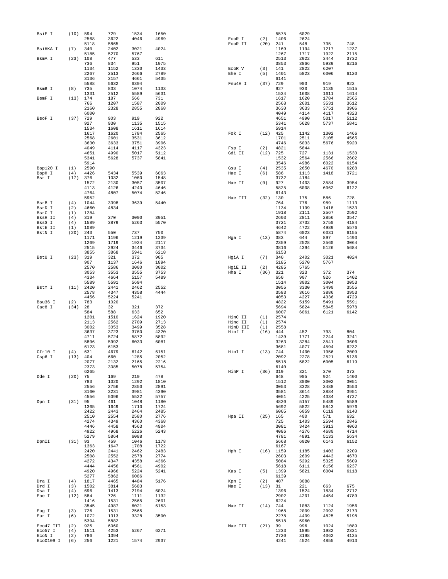| BsiE I              | (10)       | 594        | 729          | 1534 | 1650 |          |          | 5575         | 6029         |              |              |
|---------------------|------------|------------|--------------|------|------|----------|----------|--------------|--------------|--------------|--------------|
|                     |            | 2568       | 3622         | 4046 | 4969 | ECOR I   | (2)      | 1406         | 2624         |              |              |
|                     |            | 5118       | 5865         |      |      | ECOR II  | (20)     | 241          | 548          | 735          | 748          |
| BsiHKA I            | (7)        | 340        | 2402         | 3021 | 4024 |          |          | 1169         | 1194         | 1217         | 1237         |
|                     |            | 5185       | 5270         | 5767 |      |          |          | 1267         | 1717         | 1922         | 2115         |
| BsmA I              | (23)       | 108        | 477          | 533  | 611  |          |          | 2513         | 2922         | 3444         | 3732         |
|                     |            | 736        | 834          | 951  | 1075 |          |          | 3853         | 3866         | 5939         | 6216         |
|                     |            | 1134       | 1152         | 1330 | 1433 | ECOR V   | (3)      | 141          | 2822         | 6207         |              |
|                     |            | 2267       | 2513         | 2666 | 2789 | Ehe I    | (5)      | 1401         | 5823         | 6006         | 6120         |
|                     |            | 3136       | 3157         | 4661 | 5435 |          |          | 6141         |              |              |              |
|                     |            | 5588       | 5632         | 6304 |      | Fnu4H I  | (37)     | 729          | 903          | 919          | 922          |
| BsmB I              | (8)        | 735        | 833          | 1074 | 1133 |          |          | 927          | 930          | 1135         | 1515         |
|                     |            | 1331       | 2512         | 5589 | 5631 |          |          | 1534         | 1608         | 1611         | 1614         |
| BsmF I              | (13)       | 174        | 187          | 566  | 731  |          |          | 1617         | 1620         | 1784         | 2565         |
|                     |            | 766        | 1207         | 1587 | 2009 |          |          | 2568         | 2601         | 3531         | 3612         |
|                     |            | 2160       | 2328         | 2855 | 2868 |          |          | 3630         | 3633         | 3751         | 3906         |
|                     |            | 6000       |              |      |      |          |          | 4049         | 4114         | 4117         | 4323         |
| BsoF I              | (37)       | 729        | 903          | 919  | 922  |          |          | 4651         | 4990         | 5017         | 5112         |
|                     |            | 927        | 930          | 1135 | 1515 |          |          | 5341         | 5628         | 5737         | 5841         |
|                     |            | 1534       | 1608         | 1611 | 1614 |          |          | 5914         |              |              |              |
|                     |            | 1617       | 1620         | 1784 | 2565 | Fok I    | (12)     | 425          | 1142         | 1302         | 1466         |
|                     |            | 2568       | 2601         | 3531 | 3612 |          |          | 1701         | 2511         | 3105         | 4565         |
|                     |            | 3630       | 3633         | 3751 | 3906 |          |          | 4746         | 5033         | 5676         | 5920         |
|                     |            | 4049       | 4114         | 4117 | 4323 | Fsp I    | (2)      | 4821         | 5844         |              |              |
|                     |            | 4651       | 4990         | 5017 | 5112 | Gdi II   | (12)     | 725          | 727          | 1131         | 1530         |
|                     |            | 5341       | 5628         | 5737 | 5841 |          |          | 1532         | 2564         | 2566         | 2602         |
|                     |            | 5914       |              |      |      |          |          | 3546         | 4986         | 6022         | 6154         |
| Bsp120 I            | (1)        | 2590       |              |      |      | Gsu I    | (4)      | 2535         | 2650         | 4670         | 6288         |
| BspH I              | (4)        | 4426       | 5434         | 5539 | 6063 | Hae I    | (6)      | 586          | 1113         | 1418         | 3721         |
| Bsr I               | (17)       | 376        | 1032         | 1060 | 1548 |          |          | 3732         | 4184         |              |              |
|                     |            | 1572       | 2130         | 3057 | 3507 | Hae II   | (9)      | 927          | 1403         | 3584         | 3954         |
|                     |            | 4113       | 4126         | 4240 | 4646 |          |          | 5825         | 6008         | 6062         | 6122         |
|                     |            | 4764       | 4807         | 5074 | 5246 |          |          | 6143         |              |              |              |
|                     |            | 5952       |              |      |      | Hae III  | (32)     | 130          | 175          | 586          | 728          |
| BsrB I              | (4)        | 1044       | 3398         | 3639 | 5440 |          |          | 764          | 776          | 989          | 1113         |
| BsrD I              | (2)        | 4660       | 4834         |      |      |          |          | 1134         | 1199         | 1418         | 1533         |
| BsrG I              | (1)        | 1284       |              |      |      |          |          | 1918         | 2111         | 2567         | 2592         |
| BssH II             | (4)        | 319        | 370          | 3000 | 3051 |          |          | 2603         | 2811         | 2856         | 3547         |
| BssS I              | (4)        | 1589       | 3879         | 5263 | 5570 |          |          | 3721         | 3732         | 3750         | 4184         |
| BstE II             | (1)        | 1089       |              |      |      |          |          | 4642         | 4722         | 4989         | 5576         |
| BstN I              | (20)       | 243        | 550          | 737  | 750  |          |          | 5874         | 6023         | 6031         | 6155         |
|                     |            | 1171       | 1196         | 1219 | 1239 | Hqa I    | (13)     | 383          | 644          | 897          | 1493         |
|                     |            | 1269       | 1719         | 1924 | 2117 |          |          | 2359         | 2528         | 2560         | 3064         |
|                     |            | 2515       | 2924         | 3446 | 3734 |          |          | 3816         | 4394         | 5126         | 5684         |
|                     |            | 3855       | 3868         | 5941 | 6218 |          |          | 6153         |              |              |              |
| BstU I              | (23)       | 319        | 321          | 372  | 905  | HgiA I   | (7)      | 340          | 2402         | 3021         | 4024         |
|                     |            | 907        | 1137         | 1646 | 1894 |          |          | 5185         | 5270         | 5767         |              |
|                     |            | 2570       | 2586         | 3000 | 3002 | HgiE II  | (2)      | 4285         | 5765         |              |              |
|                     |            | 3053       | 3553         | 3555 | 3753 | Hha I    | (36)     | 321          | 323          | 372          | 374          |
|                     |            | 4334       | 4664         | 5157 | 5489 |          |          | 650          | 907          | 926          | 1402         |
|                     |            | 5589       | 5591         | 5694 |      |          |          | 1514         | 3002         | 3004         | 3053         |
| BstY I              | (11)       | 2420       | 2441         | 2462 | 2552 |          |          | 3055         | 3330         | 3490         | 3555         |
|                     |            |            |              |      |      |          |          |              |              |              |              |
|                     |            | 2578       | 4347         | 4358 | 4444 |          |          | 3583         | 3616         | 3886         | 3953         |
|                     |            | 4456       | 5224         | 5241 |      |          |          | 4053         | 4227         | 4336         | 4729         |
| Bsu36 I             | (2)        | 783        | 1020         |      |      |          |          | 4822         | 5159         | 5491         | 5591         |
| Cac8 I              | (34)       | 28         | 32           | 321  | 372  |          |          | 5694         | 5824         | 5845         | 5978         |
|                     |            | 584        | 588          | 633  | 652  |          |          | 6007         | 6061         | 6121         | 6142         |
|                     |            | 1201       | 1510         | 1624 | 1920 | HinC II  | (1)      | 2574         |              |              |              |
|                     |            | 2113       | 2562         | 2709 | 2713 | Hind II  | (1)      | 2574         |              |              |              |
|                     |            | 3002       | 3053         | 3499 | 3528 | HinD III | (1)      | 2558         |              |              |              |
|                     |            | 3637       | 3723         | 3760 | 4320 | Hinf I   | (16)     | 444          | 452          | 793          | 804          |
|                     |            | 4711       | 5724         | 5872 | 5892 |          |          | 1439         | 1771         | 2244         | 3241         |
|                     |            | 5896       | 5992         | 6033 | 6081 |          |          | 3263         | 3284         | 3541         | 3606         |
|                     |            | 6123       |              |      |      |          |          | 3681         | 4077         | 4594         | 6232         |
|                     |            |            | 6153         |      |      |          |          |              |              |              |              |
| Cfr10 I             | (4)        | 631        | 4679         | 6142 | 6151 | HinI I   | (13)     | 744          | 1400         | 1956         | 2009         |
| Csp6 I              | (13)       | 404        | 660          | 1285 | 2052 |          |          | 2092         | 2278         | 2521         | 5136         |
|                     |            | 2077       | 2132         | 2165 | 2216 |          |          | 5518         | 5822         | 6005         | 6119         |
|                     |            | 2373       | 3085         | 5078 | 5754 |          |          | 6140         |              |              |              |
|                     |            | 6265       |              |      |      | HinP I   | (36) 319 |              | 321          | 370          | 372          |
| Dde I               | (20)       | 75         | 169          | 210  | 478  |          |          | 648          | 905          | 924          | 1400         |
|                     |            | 783        | 1020         | 1292 | 1810 |          |          | 1512         | 3000         | 3002         | 3051         |
|                     |            | 2556       | 2756         | 2850 | 2891 |          |          | 3053         | 3328         | 3488         | 3553         |
|                     |            | 3160       | 3231         | 3981 | 4390 |          |          | 3581         | 3614         | 3884         | 3951         |
|                     |            | 4556       | 5096         | 5522 | 5757 |          |          | 4051         | 4225         | 4334         | 4727         |
| Dpn I               | (31)       | 95         | 461          | 1048 | 1180 |          |          | 4820         | 5157         | 5489         | 5589         |
|                     |            | 1365       | 1649         | 1710 | 1724 |          |          | 5692         | 5822         | 5843         | 5976         |
|                     |            | 2422       | 2443         | 2464 | 2485 |          |          | 6005         | 6059         | 6119         | 6140         |
|                     |            | 2510       | 2554         | 2580 | 2776 | Hpa II   | (25)     | 165          | 400          | 571          | 632          |
|                     |            | 4274       | 4349         | 4360 | 4368 |          |          | 725          | 1403         | 2594         | 2846         |
|                     |            | 4446       | 4458         | 4563 | 4904 |          |          | 3081         | 3424         | 3913         | 4060         |
|                     |            | 4922       | 4968         | 5226 | 5243 |          |          | 4086         | 4276         | 4680         | 4714         |
|                     |            | 5279       | 5864         | 6088 |      |          |          | 4781         | 4891         | 5133         | 5634         |
| DpnII               | (31)       | 93         | 459          | 1046 | 1178 |          |          | 5668         | 6020         | 6143         | 6152         |
|                     |            | 1363       | 1647         | 1708 | 1722 |          |          | 6167         |              |              |              |
|                     |            | 2420       | 2441         | 2462 | 2483 | Hph I    |          | $(16)$ 1159  | 1185         | 1403         | 2209         |
|                     |            | 2508       | 2552         | 2578 | 2774 |          |          | 2603         | 2609         | 4443         | 4670         |
|                     |            | 4272       | 4347         | 4358 | 4366 |          |          | 5084         | 5292         | 5325         | 5609         |
|                     |            | 4444       | 4456         | 4561 | 4902 |          |          | 5618         | 6111         | 6156         | 6237         |
|                     |            | 4920       | 4966         | 5224 | 5241 | Kas I    | (5)      | 1399         | 5821         | 6004         | 6118         |
|                     |            | 5277       | 5862         | 6086 |      |          |          | 6139         |              |              |              |
| Dra I               | (4)        | 1817       | 4465         | 4484 | 5176 | Kpn I    | (2)      | 407          | 3088         |              |              |
| Drd I               | (3)        | 1502       | 3814         | 5683 |      | Mae I    | (13)     | 31           | 221          | 663          | 675          |
| Dsa I               | (4)        | 696        | 1413         | 2194 | 6024 |          |          | 1396         | 1524         | 1834         | 2712         |
| Eae I               | (12)       | 584        | 726          | 1111 | 1132 |          |          | 2902         | 4201         | 4454         | 4789         |
|                     |            | 1416       | 1531         | 2565 | 2601 |          |          | 6224         |              |              |              |
|                     |            | 3545       | 4987         | 6021 | 6153 | Mae II   | (14)     | 744          | 1083         | 1124         | 1956         |
| Eag I               | (3)        | 726        | 1531         | 2565 |      |          |          | 1968         | 2009         | 2092         | 2173         |
| Ear I               | (6)        | 1072       | 1313         | 3328 | 3590 |          |          | 2278         | 4409         | 4825         | 5198         |
|                     |            | 5394       | 5882         |      |      |          |          | 5518         | 5960         |              |              |
| Eco47 III           | (2)        | 925        | 6060         |      |      | Mae III  | (21) 39  |              | 996          | 1024         | 1089         |
| Eco57 I             | (4)        | 1511       | 4253         | 5267 | 6271 |          |          | 1233         | 1895         | 1982         | 2331         |
| ECON I<br>Eco0109 I | (2)<br>(6) | 786<br>256 | 1394<br>1221 | 1574 | 2937 |          |          | 2720<br>4241 | 3198<br>4524 | 4062<br>4855 | 4125<br>4913 |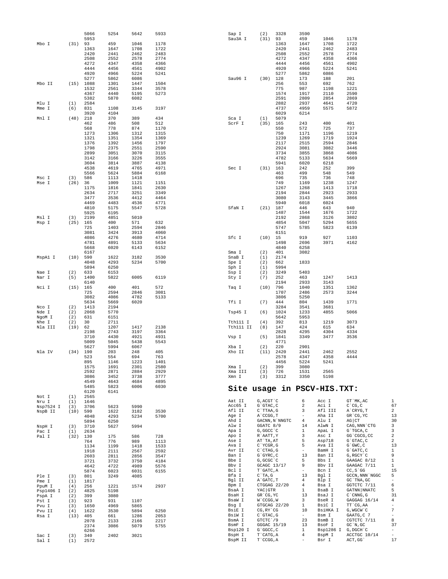|                 |             | 5066         | 5254         | 5642         | 5933 |                  |                      |                | 3590                     |                             |                    |                          |
|-----------------|-------------|--------------|--------------|--------------|------|------------------|----------------------|----------------|--------------------------|-----------------------------|--------------------|--------------------------|
|                 |             | 5953         |              |              |      | Sap I<br>Sau3A I | (2)<br>(31)          | 3328<br>93     | 459                      | 1046                        | 1178               |                          |
| Mbo I           | $(31)$ 93   |              | 459          | 1046         | 1178 |                  |                      | 1363           | 1647                     | 1708                        | 1722               |                          |
|                 |             | 1363         | 1647         | 1708         | 1722 |                  |                      | 2420           | 2441                     | 2462                        | 2483               |                          |
|                 |             | 2420         | 2441         | 2462         | 2483 |                  |                      | 2508           | 2552                     | 2578                        | 2774               |                          |
|                 |             |              |              |              |      |                  |                      |                |                          |                             |                    |                          |
|                 |             | 2508         | 2552         | 2578         | 2774 |                  |                      | 4272           | 4347                     | 4358                        | 4366               |                          |
|                 |             | 4272         | 4347         | 4358         | 4366 |                  |                      | 4444           | 4456                     | 4561                        | 4902               |                          |
|                 |             | 4444         | 4456         | 4561         | 4902 |                  |                      | 4920           | 4966<br>5862             | 5224                        | 5241               |                          |
|                 |             | 4920<br>5277 | 4966         | 5224<br>6086 | 5241 | Sau96 I          | (30)                 | 5277<br>128    | 173                      | 6086                        | 201                |                          |
| Mbo II          |             | (15) 1088    | 5862<br>1301 | 1447         | 1504 |                  |                      | 256            | 553                      | 188<br>692                  | 762                |                          |
|                 |             | 1532         | 2561         | 3344         | 3578 |                  |                      | 775            | 987                      | 1198                        | 1221               |                          |
|                 |             | 4367         |              |              |      |                  |                      | 1574           |                          |                             | 2590               |                          |
|                 |             |              | 4440         | 5195         | 5273 |                  |                      |                | 1917                     | 2110                        |                    |                          |
|                 |             | 5382         | 5870         | 6082         |      |                  |                      | 2591           | 2809                     | 2854                        | 2869               |                          |
| Mlu I           | (1)         | 2584         |              |              |      |                  |                      | 2882           | 2937                     | 4641                        | 4720               |                          |
| Mme I           | (6)         | 831          | 1108         | 3145         | 3197 |                  |                      | 4737           | 4959                     | 5575                        | 5872               |                          |
|                 |             | 3920         | 4104         |              |      |                  |                      | 6029           | 6214                     |                             |                    |                          |
| Mnl I           | (48)        | 218          | 370          | 389          | 434  | Sca I            | (1)                  | 5079           |                          |                             |                    |                          |
|                 |             | 462          | 486          | 508          | 512  | ScrF I           | (35)                 | 165            | 243                      | 400                         | 401                |                          |
|                 |             | 568          | 778          | 874          | 1170 |                  |                      | 550            | 572                      | 725                         | 737                |                          |
|                 |             | 1273         | 1306         | 1312         | 1315 |                  |                      | 750            | 1171                     | 1196                        | 1219               |                          |
|                 |             | 1321         | 1351         | 1354         | 1369 |                  |                      | 1239           | 1269                     | 1719                        | 1924               |                          |
|                 |             | 1376         | 1392         | 1456         | 1797 |                  |                      | 2117           | 2515                     | 2594                        | 2846               |                          |
|                 |             | 1798         | 2375         | 2551         | 2590 |                  |                      | 2924           | 3081                     | 3082                        | 3446               |                          |
|                 |             | 2899         | 3051         | 3070         | 3115 |                  |                      | 3734           | 3855                     | 3868                        | 4086               |                          |
|                 |             | 3142         | 3166         | 3226         | 3555 |                  |                      | 4782           | 5133                     | 5634                        | 5669               |                          |
|                 |             | 3604         | 3814         | 3887         | 4138 |                  |                      | 5941           | 6020                     | 6218                        |                    |                          |
|                 |             | 4538         | 4619         | 4765         | 4971 | Sec I            | $(31)$ 163           |                | 242                      | 252                         | 399                |                          |
|                 |             | 5566         | 5624         | 5884         | 6168 |                  |                      | 463            | 499                      | 548                         | 549                |                          |
| Msc I           | (3)         | 586          | 1113         | 1418         |      |                  |                      | 696            | 735                      | 736                         | 748                |                          |
| Mse I           | (26)        | 36           | 1009         | 1121         | 1151 |                  |                      | 749            | 1169                     | 1238                        | 1247               |                          |
|                 |             | 1175         | 1816         | 1841         | 2630 |                  |                      | 1267           | 1268                     | 1413                        | 1718               |                          |
|                 |             | 2634         | 2717         | 3251         | 3349 |                  |                      | 2194           | 2844                     | 2923                        | 2933               |                          |
|                 |             | 3477         | 3536         | 4412         | 4464 |                  |                      | 3080           | 3143                     | 3445                        | 3866               |                          |
|                 |             | 4469         | 4483         | 4536         | 4771 |                  |                      | 5940           | 6018                     | 6024                        |                    |                          |
|                 |             | 4810         | 5175         | 5547         | 5728 | SfaN I           | (21)                 | 187            | 446                      | 643                         | 940                |                          |
|                 |             | 5925         | 6195         |              |      |                  |                      | 1487           | 1544                     | 1676                        | 1722               |                          |
| Msl I           | (3)         | 2199         | 4851         | 5010         |      |                  |                      | 2192           | 2868                     | 3126                        | 3802               |                          |
| Msp I           | (25)        | 165          | 400          | 571          | 632  |                  |                      | 4854           | 5047                     | 5294                        | 5655               |                          |
|                 |             | 725          | 1403         | 2594         | 2846 |                  |                      | 5747           | 5785                     | 5823                        | 6139               |                          |
|                 |             | 3081         | 3424         | 3913         | 4060 |                  |                      | 6151           |                          |                             |                    |                          |
|                 |             | 4086         | 4276         | 4680         | 4714 | Sfc I            | $(10)$ 15            |                | 919                      | 927                         | 1103               |                          |
|                 |             | 4781         | 4891         | 5133         | 5634 |                  |                      | 1498           | 2696                     | 3971                        | 4162               |                          |
|                 |             | 5668         | 6020         | 6143         | 6152 |                  |                      | 4840           | 6258                     |                             |                    |                          |
|                 |             | 6167         |              |              |      | Sma I            | (2)                  | 401            | 3082                     |                             |                    |                          |
| MspA1 I         | (10)        | 590          | 1622         | 3182         | 3530 | SnaB I           | (1)                  | 2174           |                          |                             |                    |                          |
|                 |             | 4048         | 4293         | 5234         | 5700 | Spe I            | (2)                  | 662            | 1833                     |                             |                    |                          |
|                 |             | 5894         | 6250         |              |      | Sph I            | (1)                  | 5994           |                          |                             |                    |                          |
| Nae I           | (2)         | 633          | 6153         |              |      | Ssp I            | (2)                  | 3249           | 5403                     |                             |                    |                          |
| Nar I           | (5)         | 1400         | 5822         | 6005         | 6119 | Sty I            | (7)                  | 252            | 463                      | 1247                        | 1413               |                          |
|                 |             | 6140         |              |              |      |                  |                      | 2194           | 2933                     | 3143                        |                    |                          |
| Nci I           | (15)        | 165          | 400          | 401          | 572  | Taq I            | (10)                 | 796            | 1040                     | 1351                        | 1362               |                          |
|                 |             | 725          | 2594         | 2846         | 3081 |                  |                      | 1707           | 2486                     | 2573                        | 3244               |                          |
|                 |             | 3082         | 4086         | 4782         | 5133 |                  |                      | 3806           | 5250                     |                             |                    |                          |
|                 |             | 5634         | 5669         | 6020         |      | Tfi I            | (7)                  | 444            | 804                      | 1439                        | 1771               |                          |
| Nco I           | (2)         | 1413         | 2194         |              |      |                  |                      | 3284           | 3541                     | 3681                        |                    |                          |
| Nde I           | (2)         | 2068         | 5770         |              |      | Tsp45 I          | (6)                  | 1024           | 1233                     | 4855                        | 5066               |                          |
| NgoM I          | (2)         | 631          | 6151         |              |      |                  |                      | 5642           | 5953                     |                             |                    |                          |
| Nhe I           | (2)         | 30           | 2711         |              |      | Tth111 I         | (4)                  | 392            | 813                      | 1219                        | 3073               |                          |
| Nla III         | (19)        | 62           | 1207         | 1417         | 2138 | Tth111 II        | (8)                  | 147            | 424                      | 615                         | 634                |                          |
|                 |             | 2198         | 2743         | 3197         | 3364 |                  |                      | 2828           | 4295                     | 4304                        | 4334               |                          |
|                 |             | 3710         | 4430         | 4921         | 4931 | Vsp I            | (5)                  | 1841           | 3349                     | 3477                        | 3536               |                          |
|                 |             | 5009         | 5045         | 5438         | 5543 |                  |                      | 4771           |                          |                             |                    |                          |
|                 |             | 5627         | 5994         | 6067         |      | Xba I            | (2)                  | 220            | 2901                     |                             |                    |                          |
| Nla IV          | $(34)$ 190  |              | 203          | 248          | 405  | Xho II           | (11)                 | 2420           | 2441                     | 2462                        | 2552               |                          |
|                 |             | 523          | 554          | 694          | 763  |                  |                      | 2578           | 4347                     | 4358                        | 4444               |                          |
|                 |             | 895          | 1146         | 1223         | 1401 |                  |                      | 4456           | 5224                     | 5241                        |                    |                          |
|                 |             | 1575         | 1691         | 2301         | 2580 | Xma I            | (2)                  | 399            | 3080                     |                             |                    |                          |
|                 |             | 2592         | 2871         | 2884         | 2929 | Xma III          | (3)                  | 726            | 1531                     | 2565                        |                    |                          |
|                 |             | 3086         | 3452         | 3738         | 3777 | Xmn I            | (3)                  | 3312           | 3350                     | 5198                        |                    |                          |
|                 |             | 4549         | 4643         | 4684         | 4895 |                  |                      |                |                          |                             |                    |                          |
|                 |             | 5485<br>6120 | 5823<br>6141 | 6006         | 6030 |                  |                      |                |                          | Site usage in PSCV-HIS.TXT: |                    |                          |
|                 |             |              |              |              |      |                  |                      |                |                          |                             |                    |                          |
| Not I<br>Nru I  | (1)<br>(1)  | 2565<br>1646 |              |              |      | Aat II           | G, ACGT `C           |                | 6                        | Acc I                       | GT MK, AC          | $\mathbf{1}$             |
| Nsp7524 I       | (3)         | 3706         | 5623         | 5990         |      | Acc65 I          | G`GTAC, C            |                | 2                        | Aci I                       | $C^{\dagger}CG, C$ | 67                       |
| NspB II         | (10)        | 590          | 1622         | 3182         | 3530 | Afl II           | C`TTAA, G            |                | 3                        | Afl III                     | A`CRYG, T          | 2                        |
|                 |             | 4048         | 4293         | 5234         | 5700 | Age I            | A CCGG, T            |                | $\overline{\phantom{a}}$ | Aha II                      | GR CG, YC          | 13                       |
|                 |             |              |              |              |      | Ahd I            |                      | GACNN, N`NNGTC | 4                        | Alu I                       | $AG$ $CT$          | 30                       |
| NspH I          | (3)         | 5894<br>3710 | 6250<br>5627 | 5994         |      | Alw I            | GGATC 8/9            |                | 14                       | AlwN I                      | CAG, NNN CTG       | 3                        |
|                 |             |              |              |              |      | Apa I            | G, GGCC `C           |                | $\mathbf{1}$             | ApaL I                      | G`TGCA, C          | 3                        |
| Pac I<br>Pal I  | (1)<br>(32) | 2634<br>130  | 175          | 586          | 728  | Apo I            | R`AATT, Y            |                | 3                        | Asc I                       | GG`CGCG, CC        | 2                        |
|                 |             | 764          | 776          | 989          | 1113 | Ase I            | AT`TA, AT            |                | 5                        | Asp718                      | G`GTAC, C          | $\sqrt{2}$               |
|                 |             | 1134         | 1199         | 1418         | 1533 | Ava I            | $C^{\wedge}$ YCGR, G |                | 5                        | Ava II                      | $G$ $GWC$ , $C$    | 13                       |
|                 |             | 1918         | 2111         | 2567         | 2592 | Avr II           | $C$ $CTAG$ , $G$     |                | $\overline{\phantom{a}}$ | BamH I                      | G`GATC, C          | $\mathbf{1}$             |
|                 |             | 2603         | 2811         | 2856         | 3547 | Ban I            | G`GYRC, C            |                | 13                       | Ban II                      | G, RGCY `C         | 9                        |
|                 |             | 3721         | 3732         | 3750         | 4184 | Bbe I            | G, GCGC `C           |                | 5                        | Bbs I                       | GAAGAC 8/12        | 1                        |
|                 |             | 4642         | 4722         | 4989         | 5576 | Bbv I            | GCAGC 13/17          |                | 9                        | Bbv II                      | GAAGAC 7/11        | 1                        |
|                 |             | 5874         | 6023         | 6031         | 6155 | Bcl I            | T`GATC, A            |                | ÷                        | Bcn I                       | $CC, S$ GG         | 15                       |
| Ple I           | (3)         | 801          | 3249         | 4085         |      | Bfa I            | $C^T A$ , G          |                | 13                       | Bgl I                       | GCCN, NNN 'NGGC    | 5                        |
| Pme I           | (1)         | 1817         |              |              |      | Bgl II           | A GATC, T            |                | 4                        | Blp I                       | GC `TNA, GC        | $\overline{\phantom{a}}$ |
|                 | (4)         | 256          | 1221         | 1574         | 2937 | Bpm I            | CTGGAG 22/20         |                | 4                        | Bsa I                       | GGTCTC 7/11        | 6                        |
| PpuM I          |             |              | 5198         |              |      | BsaA I           | YAC GTR              |                | $\mathbf{1}$             | BsaB I                      | GATNN NNATC        | 5                        |
| Psp1406 I       | (2)<br>(2)  | 4825<br>399  | 3080         |              |      | BsaH I           | GR CG, YC            |                | 13                       | BsaJ I                      | $C$ $CMNG$ , $G$   | 31                       |
| PspA I<br>Pst I | (3)         | 923          | 931          | 1107         |      | BsaW I           | W`CCGG, W            |                | 3                        | BseR I                      | GAGGAG 16/14       | 4                        |
|                 |             |              |              | 5865         |      | Bsg I            | GTGCAG 22/20         |                | $\mathbf{1}$             | BsiC I                      | TT CG, AA          | $\overline{\phantom{a}}$ |
| Pvu I<br>Pvu II | (3)<br>(4)  | 1650<br>1622 | 4969<br>3530 | 5894         | 6250 | BsiE I           | CG, RY CG            |                | 10                       | BsiHKA I                    | G, WGCW`C          | $\overline{7}$           |
| Rsa I           | (13)        | 405          | 661          | 1286         | 2053 | BsiW I           | $C$ $GTAC$ , $G$     |                | $\overline{\phantom{a}}$ | Bsm I                       | GAATG, C 7         | $\overline{\phantom{a}}$ |
|                 |             | 2078         | 2133         | 2166         | 2217 | BsmA I           | GTCTC 79             |                | 23                       | BsmB I                      | CGTCTC 7/11        | 8                        |
|                 |             | 2374         | 3086         | 5079         | 5755 | BsmF I           | GGGAC 15/19          |                | 13                       | BsoF I                      | $GC^N$ , $GC$      | 37                       |
|                 |             | 6266         |              |              |      | Bsp120 I         | G`GGCC, C            |                | $\mathbf{1}$             | Bsp1286 I                   | G, DGCH`C          | $\overline{\phantom{a}}$ |
|                 |             |              |              |              |      | BspH I           | T`CATG, A            |                | 4                        | BspM I                      | ACCTGC 10/14       | $\overline{\phantom{a}}$ |
| Sac I<br>Sal I  | (3)<br>(1)  | 340<br>2572  | 2402         | 3021         |      | BspM II          | T`CCGG, A            |                |                          | Bsr I                       | ACT, GG            | 17                       |
|                 |             |              |              |              |      |                  |                      |                |                          |                             |                    |                          |